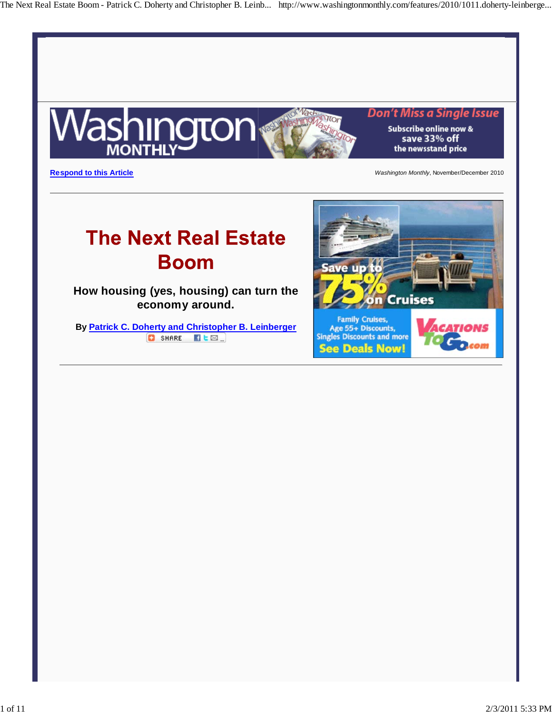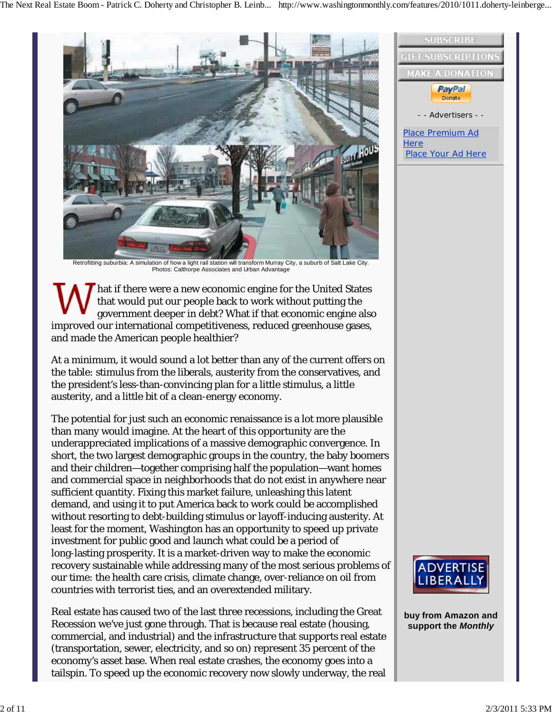

Retrofitting suburbia: A simulation of how a light rail station will transform Murray City, a suburb of Salt Lake City. Photos: Calthorpe Associates and Urban Advantage

hat if there were a new economic engine for the United States that would put our people back to work without putting the government deeper in debt? What if that economic engine also improved our international competitiveness, reduced greenhouse gases, and made the American people healthier?

At a minimum, it would sound a lot better than any of the current offers on the table: stimulus from the liberals, austerity from the conservatives, and the president's less-than-convincing plan for a little stimulus, a little austerity, and a little bit of a clean-energy economy.

The potential for just such an economic renaissance is a lot more plausible than many would imagine. At the heart of this opportunity are the underappreciated implications of a massive demographic convergence. In short, the two largest demographic groups in the country, the baby boomers and their children—together comprising half the population—want homes and commercial space in neighborhoods that do not exist in anywhere near sufficient quantity. Fixing this market failure, unleashing this latent demand, and using it to put America back to work could be accomplished without resorting to debt-building stimulus or layoff-inducing austerity. At least for the moment, Washington has an opportunity to speed up private investment for public good and launch what could be a period of long-lasting prosperity. It is a market-driven way to make the economic recovery sustainable while addressing many of the most serious problems of our time: the health care crisis, climate change, over-reliance on oil from countries with terrorist ties, and an overextended military.

Real estate has caused two of the last three recessions, including the Great Recession we've just gone through. That is because real estate (housing, commercial, and industrial) and the infrastructure that supports real estate (transportation, sewer, electricity, and so on) represent 35 percent of the economy's asset base. When real estate crashes, the economy goes into a tailspin. To speed up the economic recovery now slowly underway, the real





**buy from Amazon and support the** *Monthly*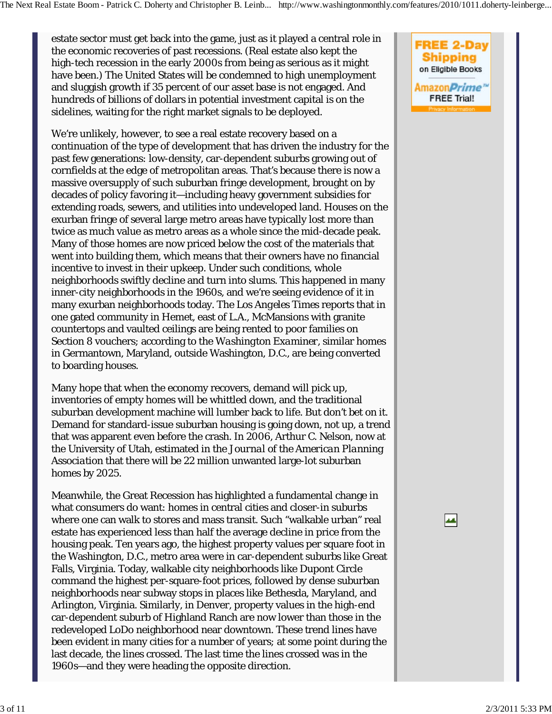estate sector *must* get back into the game, just as it played a central role in the economic recoveries of past recessions. (Real estate also kept the high-tech recession in the early 2000s from being as serious as it might have been.) The United States will be condemned to high unemployment and sluggish growth if 35 percent of our asset base is not engaged. And hundreds of billions of dollars in potential investment capital is on the sidelines, waiting for the right market signals to be deployed.

We're unlikely, however, to see a real estate recovery based on a continuation of the type of development that has driven the industry for the past few generations: low-density, car-dependent suburbs growing out of cornfields at the edge of metropolitan areas. That's because there is now a massive oversupply of such suburban fringe development, brought on by decades of policy favoring it—including heavy government subsidies for extending roads, sewers, and utilities into undeveloped land. Houses on the exurban fringe of several large metro areas have typically lost more than twice as much value as metro areas as a whole since the mid-decade peak. Many of those homes are now priced below the cost of the materials that went into building them, which means that their owners have no financial incentive to invest in their upkeep. Under such conditions, whole neighborhoods swiftly decline and turn into slums. This happened in many inner-city neighborhoods in the 1960s, and we're seeing evidence of it in many exurban neighborhoods today. The *Los Angeles Times* reports that in one gated community in Hemet, east of L.A., McMansions with granite countertops and vaulted ceilings are being rented to poor families on Section 8 vouchers; according to the *Washington Examiner*, similar homes in Germantown, Maryland, outside Washington, D.C., are being converted to boarding houses.

Many hope that when the economy recovers, demand will pick up, inventories of empty homes will be whittled down, and the traditional suburban development machine will lumber back to life. But don't bet on it. Demand for standard-issue suburban housing is going down, not up, a trend that was apparent even before the crash. In 2006, Arthur C. Nelson, now at the University of Utah, estimated in the *Journal of the American Planning Association* that there will be 22 million unwanted large-lot suburban homes by 2025.

Meanwhile, the Great Recession has highlighted a fundamental change in what consumers *do* want: homes in central cities and closer-in suburbs where one can walk to stores and mass transit. Such "walkable urban" real estate has experienced less than half the average decline in price from the housing peak. Ten years ago, the highest property values per square foot in the Washington, D.C., metro area were in car-dependent suburbs like Great Falls, Virginia. Today, walkable city neighborhoods like Dupont Circle command the highest per-square-foot prices, followed by dense suburban neighborhoods near subway stops in places like Bethesda, Maryland, and Arlington, Virginia. Similarly, in Denver, property values in the high-end car-dependent suburb of Highland Ranch are now lower than those in the redeveloped LoDo neighborhood near downtown. These trend lines have been evident in many cities for a number of years; at some point during the last decade, the lines crossed. The last time the lines crossed was in the 1960s—and they were heading the opposite direction.



لعما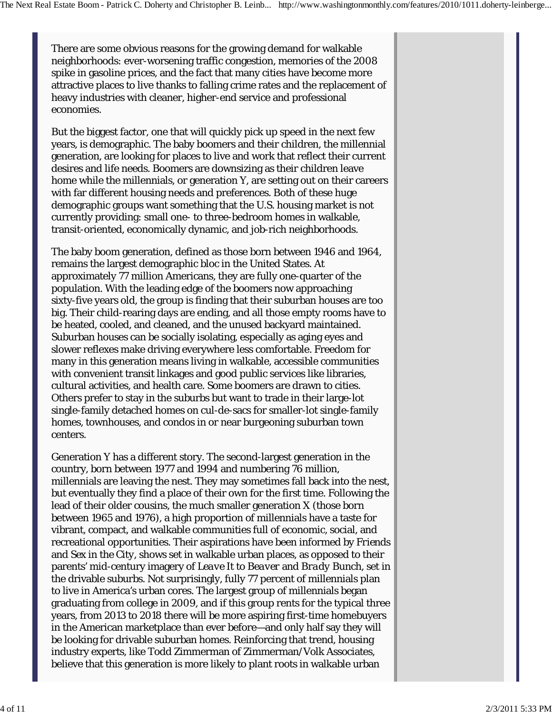There are some obvious reasons for the growing demand for walkable neighborhoods: ever-worsening traffic congestion, memories of the 2008 spike in gasoline prices, and the fact that many cities have become more attractive places to live thanks to falling crime rates and the replacement of heavy industries with cleaner, higher-end service and professional economies.

But the biggest factor, one that will quickly pick up speed in the next few years, is demographic. The baby boomers and their children, the millennial generation, are looking for places to live and work that reflect their current desires and life needs. Boomers are downsizing as their children leave home while the millennials, or generation Y, are setting out on their careers with far different housing needs and preferences. Both of these huge demographic groups want something that the U.S. housing market is not currently providing: small one- to three-bedroom homes in walkable, transit-oriented, economically dynamic, and job-rich neighborhoods.

The baby boom generation, defined as those born between 1946 and 1964, remains the largest demographic bloc in the United States. At approximately 77 million Americans, they are fully one-quarter of the population. With the leading edge of the boomers now approaching sixty-five years old, the group is finding that their suburban houses are too big. Their child-rearing days are ending, and all those empty rooms have to be heated, cooled, and cleaned, and the unused backyard maintained. Suburban houses can be socially isolating, especially as aging eyes and slower reflexes make driving everywhere less comfortable. Freedom for many in this generation means living in walkable, accessible communities with convenient transit linkages and good public services like libraries, cultural activities, and health care. Some boomers are drawn to cities. Others prefer to stay in the suburbs but want to trade in their large-lot single-family detached homes on cul-de-sacs for smaller-lot single-family homes, townhouses, and condos in or near burgeoning suburban town centers.

Generation Y has a different story. The second-largest generation in the country, born between 1977 and 1994 and numbering 76 million, millennials are leaving the nest. They may sometimes fall back into the nest, but eventually they find a place of their own for the first time. Following the lead of their older cousins, the much smaller generation X (those born between 1965 and 1976), a high proportion of millennials have a taste for vibrant, compact, and walkable communities full of economic, social, and recreational opportunities. Their aspirations have been informed by *Friends* and *Sex in the City*, shows set in walkable urban places, as opposed to their parents' mid-century imagery of *Leave It to Beaver* and *Brady Bunch*, set in the drivable suburbs. Not surprisingly, fully 77 percent of millennials plan to live in America's urban cores. The largest group of millennials began graduating from college in 2009, and if this group rents for the typical three years, from 2013 to 2018 there will be more aspiring first-time homebuyers in the American marketplace than ever before—and only half say they will be looking for drivable suburban homes. Reinforcing that trend, housing industry experts, like Todd Zimmerman of Zimmerman/Volk Associates, believe that this generation is more likely to plant roots in walkable urban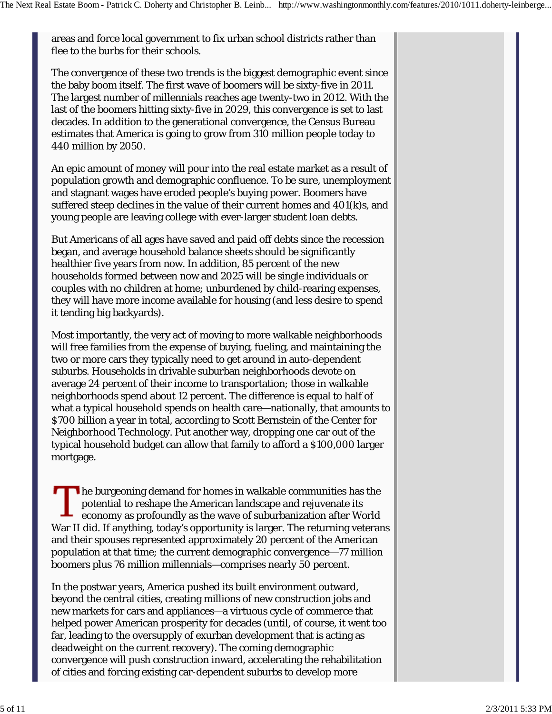areas and force local government to fix urban school districts rather than flee to the burbs for their schools.

The convergence of these two trends is the biggest demographic event since the baby boom itself. The first wave of boomers will be sixty-five in 2011. The largest number of millennials reaches age twenty-two in 2012. With the last of the boomers hitting sixty-five in 2029, this convergence is set to last decades. In addition to the generational convergence, the Census Bureau estimates that America is going to grow from 310 million people today to 440 million by 2050.

An epic amount of money will pour into the real estate market as a result of population growth and demographic confluence. To be sure, unemployment and stagnant wages have eroded people's buying power. Boomers have suffered steep declines in the value of their current homes and 401(k)s, and young people are leaving college with ever-larger student loan debts.

But Americans of all ages have saved and paid off debts since the recession began, and average household balance sheets should be significantly healthier five years from now. In addition, 85 percent of the new households formed between now and 2025 will be single individuals or couples with no children at home; unburdened by child-rearing expenses, they will have more income available for housing (and less desire to spend it tending big backyards).

Most importantly, the very act of moving to more walkable neighborhoods will free families from the expense of buying, fueling, and maintaining the two or more cars they typically need to get around in auto-dependent suburbs. Households in drivable suburban neighborhoods devote on average 24 percent of their income to transportation; those in walkable neighborhoods spend about 12 percent. The difference is equal to half of what a typical household spends on health care—nationally, that amounts to \$700 billion a year in total, according to Scott Bernstein of the Center for Neighborhood Technology. Put another way, dropping one car out of the typical household budget can allow that family to afford a \$100,000 larger mortgage.

he burgeoning demand for homes in walkable communities has the potential to reshape the American landscape and rejuvenate its economy as profoundly as the wave of suburbanization after World War II did. If anything, today's opportunity is larger. The returning veterans and their spouses represented approximately 20 percent of the American population at that time; the current demographic convergence—77 million boomers plus 76 million millennials—comprises nearly 50 percent.

In the postwar years, America pushed its built environment outward, beyond the central cities, creating millions of new construction jobs and new markets for cars and appliances—a virtuous cycle of commerce that helped power American prosperity for decades (until, of course, it went too far, leading to the oversupply of exurban development that is acting as deadweight on the current recovery). The coming demographic convergence will push construction inward, accelerating the rehabilitation of cities and forcing existing car-dependent suburbs to develop more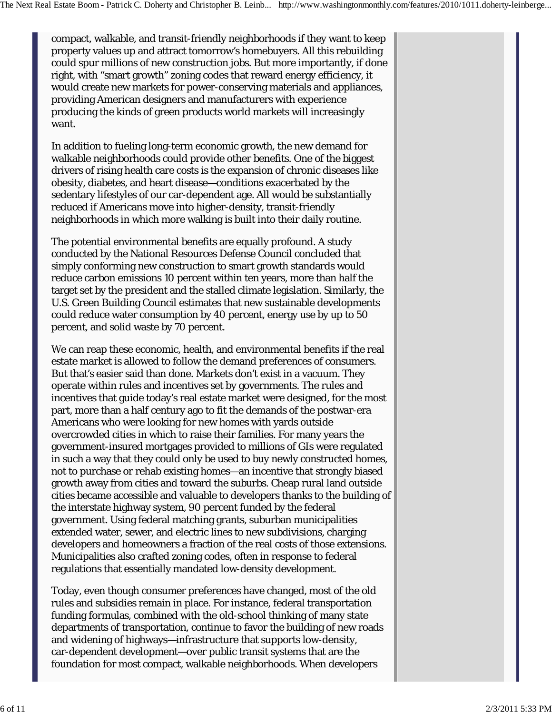compact, walkable, and transit-friendly neighborhoods if they want to keep property values up and attract tomorrow's homebuyers. All this rebuilding could spur millions of new construction jobs. But more importantly, if done right, with "smart growth" zoning codes that reward energy efficiency, it would create new markets for power-conserving materials and appliances, providing American designers and manufacturers with experience producing the kinds of green products world markets will increasingly want.

In addition to fueling long-term economic growth, the new demand for walkable neighborhoods could provide other benefits. One of the biggest drivers of rising health care costs is the expansion of chronic diseases like obesity, diabetes, and heart disease—conditions exacerbated by the sedentary lifestyles of our car-dependent age. All would be substantially reduced if Americans move into higher-density, transit-friendly neighborhoods in which more walking is built into their daily routine.

The potential environmental benefits are equally profound. A study conducted by the National Resources Defense Council concluded that simply conforming new construction to smart growth standards would reduce carbon emissions 10 percent within ten years, more than half the target set by the president and the stalled climate legislation. Similarly, the U.S. Green Building Council estimates that new sustainable developments could reduce water consumption by 40 percent, energy use by up to 50 percent, and solid waste by 70 percent.

We can reap these economic, health, and environmental benefits if the real estate market is allowed to follow the demand preferences of consumers. But that's easier said than done. Markets don't exist in a vacuum. They operate within rules and incentives set by governments. The rules and incentives that guide today's real estate market were designed, for the most part, more than a half century ago to fit the demands of the postwar-era Americans who were looking for new homes with yards outside overcrowded cities in which to raise their families. For many years the government-insured mortgages provided to millions of GIs were regulated in such a way that they could only be used to buy newly constructed homes, not to purchase or rehab existing homes—an incentive that strongly biased growth away from cities and toward the suburbs. Cheap rural land outside cities became accessible and valuable to developers thanks to the building of the interstate highway system, 90 percent funded by the federal government. Using federal matching grants, suburban municipalities extended water, sewer, and electric lines to new subdivisions, charging developers and homeowners a fraction of the real costs of those extensions. Municipalities also crafted zoning codes, often in response to federal regulations that essentially mandated low-density development.

Today, even though consumer preferences have changed, most of the old rules and subsidies remain in place. For instance, federal transportation funding formulas, combined with the old-school thinking of many state departments of transportation, continue to favor the building of new roads and widening of highways—infrastructure that supports low-density, car-dependent development—over public transit systems that are the foundation for most compact, walkable neighborhoods. When developers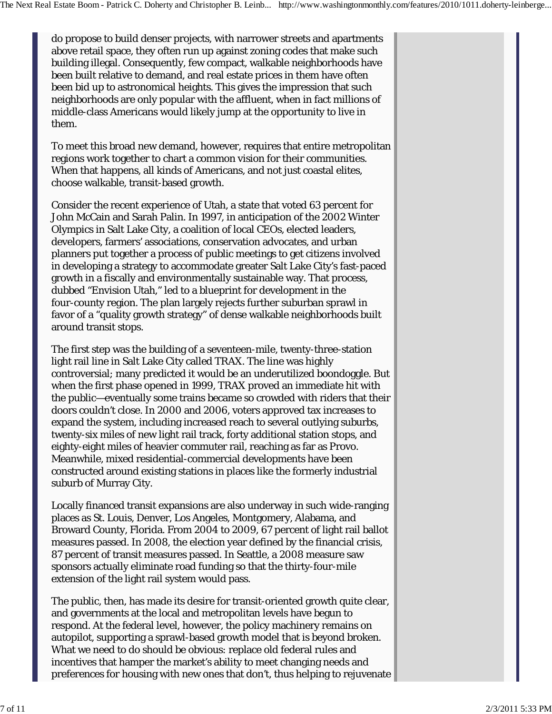do propose to build denser projects, with narrower streets and apartments above retail space, they often run up against zoning codes that make such building illegal. Consequently, few compact, walkable neighborhoods have been built relative to demand, and real estate prices in them have often been bid up to astronomical heights. This gives the impression that such neighborhoods are only popular with the affluent, when in fact millions of middle-class Americans would likely jump at the opportunity to live in them.

To meet this broad new demand, however, requires that entire metropolitan regions work together to chart a common vision for their communities. When that happens, all kinds of Americans, and not just coastal elites, choose walkable, transit-based growth.

Consider the recent experience of Utah, a state that voted 63 percent for John McCain and Sarah Palin. In 1997, in anticipation of the 2002 Winter Olympics in Salt Lake City, a coalition of local CEOs, elected leaders, developers, farmers' associations, conservation advocates, and urban planners put together a process of public meetings to get citizens involved in developing a strategy to accommodate greater Salt Lake City's fast-paced growth in a fiscally and environmentally sustainable way. That process, dubbed "Envision Utah," led to a blueprint for development in the four-county region. The plan largely rejects further suburban sprawl in favor of a "quality growth strategy" of dense walkable neighborhoods built around transit stops.

The first step was the building of a seventeen-mile, twenty-three-station light rail line in Salt Lake City called TRAX. The line was highly controversial; many predicted it would be an underutilized boondoggle. But when the first phase opened in 1999, TRAX proved an immediate hit with the public—eventually some trains became so crowded with riders that their doors couldn't close. In 2000 and 2006, voters approved tax increases to expand the system, including increased reach to several outlying suburbs, twenty-six miles of new light rail track, forty additional station stops, and eighty-eight miles of heavier commuter rail, reaching as far as Provo. Meanwhile, mixed residential-commercial developments have been constructed around existing stations in places like the formerly industrial suburb of Murray City.

Locally financed transit expansions are also underway in such wide-ranging places as St. Louis, Denver, Los Angeles, Montgomery, Alabama, and Broward County, Florida. From 2004 to 2009, 67 percent of light rail ballot measures passed. In 2008, the election year defined by the financial crisis, 87 percent of transit measures passed. In Seattle, a 2008 measure saw sponsors actually eliminate road funding so that the thirty-four-mile extension of the light rail system would pass.

The public, then, has made its desire for transit-oriented growth quite clear, and governments at the local and metropolitan levels have begun to respond. At the federal level, however, the policy machinery remains on autopilot, supporting a sprawl-based growth model that is beyond broken. What we need to do should be obvious: replace old federal rules and incentives that hamper the market's ability to meet changing needs and preferences for housing with new ones that don't, thus helping to rejuvenate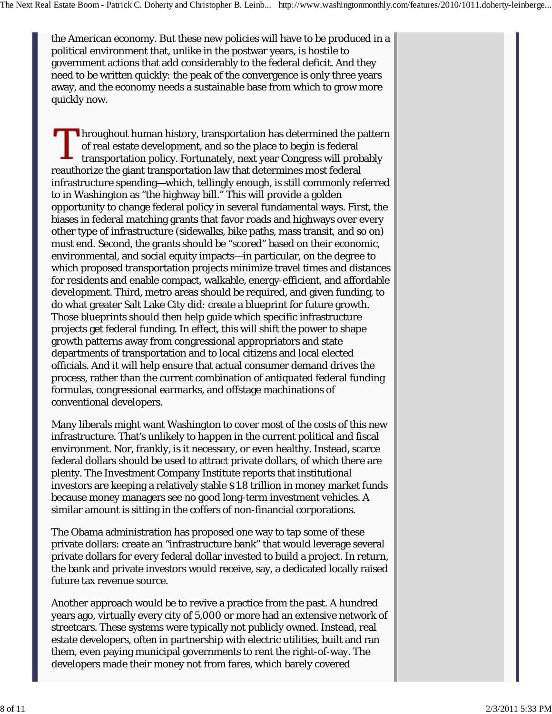the American economy. But these new policies will have to be produced in a political environment that, unlike in the postwar years, is hostile to government actions that add considerably to the federal deficit. And they need to be written quickly: the peak of the convergence is only three years away, and the economy needs a sustainable base from which to grow more quickly now.

**h** hroughout human history, transportation has determined the pattern of real estate development, and so the place to begin is federal transportation policy. Fortunately, next year Congress will probably reauthorize the giant transportation law that determines most federal infrastructure spending—which, tellingly enough, is still commonly referred to in Washington as "the highway bill." This will provide a golden opportunity to change federal policy in several fundamental ways. First, the biases in federal matching grants that favor roads and highways over every other type of infrastructure (sidewalks, bike paths, mass transit, and so on) must end. Second, the grants should be "scored" based on their economic, environmental, and social equity impacts—in particular, on the degree to which proposed transportation projects minimize travel times and distances for residents and enable compact, walkable, energy-efficient, and affordable development. Third, metro areas should be required, and given funding, to do what greater Salt Lake City did: create a blueprint for future growth. Those blueprints should then help guide which specific infrastructure projects get federal funding. In effect, this will shift the power to shape growth patterns away from congressional appropriators and state departments of transportation and to local citizens and local elected officials. And it will help ensure that actual consumer demand drives the process, rather than the current combination of antiquated federal funding formulas, congressional earmarks, and offstage machinations of conventional developers.

Many liberals might want Washington to cover most of the costs of this new infrastructure. That's unlikely to happen in the current political and fiscal environment. Nor, frankly, is it necessary, or even healthy. Instead, scarce federal dollars should be used to attract private dollars, of which there are plenty. The Investment Company Institute reports that institutional investors are keeping a relatively stable \$1.8 trillion in money market funds because money managers see no good long-term investment vehicles. A similar amount is sitting in the coffers of non-financial corporations.

The Obama administration has proposed one way to tap some of these private dollars: create an "infrastructure bank" that would leverage several private dollars for every federal dollar invested to build a project. In return, the bank and private investors would receive, say, a dedicated locally raised future tax revenue source.

Another approach would be to revive a practice from the past. A hundred years ago, virtually every city of 5,000 or more had an extensive network of streetcars. These systems were typically not publicly owned. Instead, real estate developers, often in partnership with electric utilities, built and ran them, even paying municipal governments to rent the right-of-way. The developers made their money not from fares, which barely covered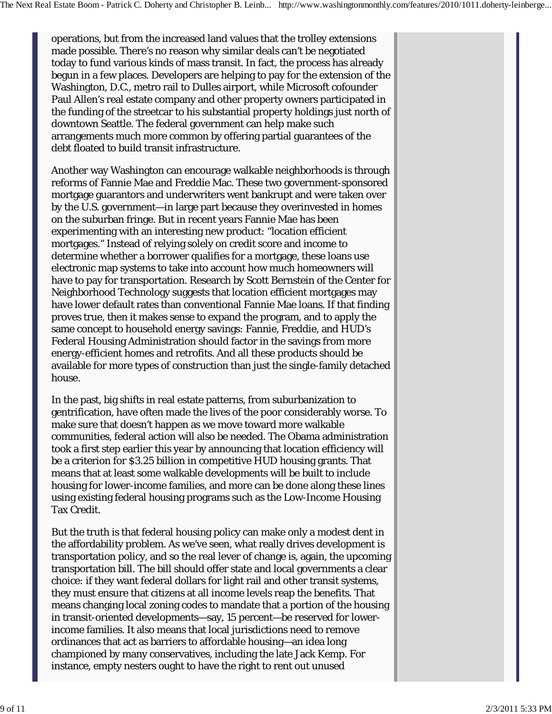operations, but from the increased land values that the trolley extensions made possible. There's no reason why similar deals can't be negotiated today to fund various kinds of mass transit. In fact, the process has already begun in a few places. Developers are helping to pay for the extension of the Washington, D.C., metro rail to Dulles airport, while Microsoft cofounder Paul Allen's real estate company and other property owners participated in the funding of the streetcar to his substantial property holdings just north of downtown Seattle. The federal government can help make such arrangements much more common by offering partial guarantees of the debt floated to build transit infrastructure.

Another way Washington can encourage walkable neighborhoods is through reforms of Fannie Mae and Freddie Mac. These two government-sponsored mortgage guarantors and underwriters went bankrupt and were taken over by the U.S. government—in large part because they overinvested in homes on the suburban fringe. But in recent years Fannie Mae has been experimenting with an interesting new product: "location efficient mortgages." Instead of relying solely on credit score and income to determine whether a borrower qualifies for a mortgage, these loans use electronic map systems to take into account how much homeowners will have to pay for transportation. Research by Scott Bernstein of the Center for Neighborhood Technology suggests that location efficient mortgages may have lower default rates than conventional Fannie Mae loans. If that finding proves true, then it makes sense to expand the program, and to apply the same concept to household energy savings: Fannie, Freddie, and HUD's Federal Housing Administration should factor in the savings from more energy-efficient homes and retrofits. And all these products should be available for more types of construction than just the single-family detached house.

In the past, big shifts in real estate patterns, from suburbanization to gentrification, have often made the lives of the poor considerably worse. To make sure that doesn't happen as we move toward more walkable communities, federal action will also be needed. The Obama administration took a first step earlier this year by announcing that location efficiency will be a criterion for \$3.25 billion in competitive HUD housing grants. That means that at least some walkable developments will be built to include housing for lower-income families, and more can be done along these lines using existing federal housing programs such as the Low-Income Housing Tax Credit.

But the truth is that federal housing policy can make only a modest dent in the affordability problem. As we've seen, what really drives development is transportation policy, and so the real lever of change is, again, the upcoming transportation bill. The bill should offer state and local governments a clear choice: if they want federal dollars for light rail and other transit systems, they must ensure that citizens at all income levels reap the benefits. That means changing local zoning codes to mandate that a portion of the housing in transit-oriented developments—say, 15 percent—be reserved for lowerincome families. It also means that local jurisdictions need to remove ordinances that act as barriers to affordable housing—an idea long championed by many conservatives, including the late Jack Kemp. For instance, empty nesters ought to have the right to rent out unused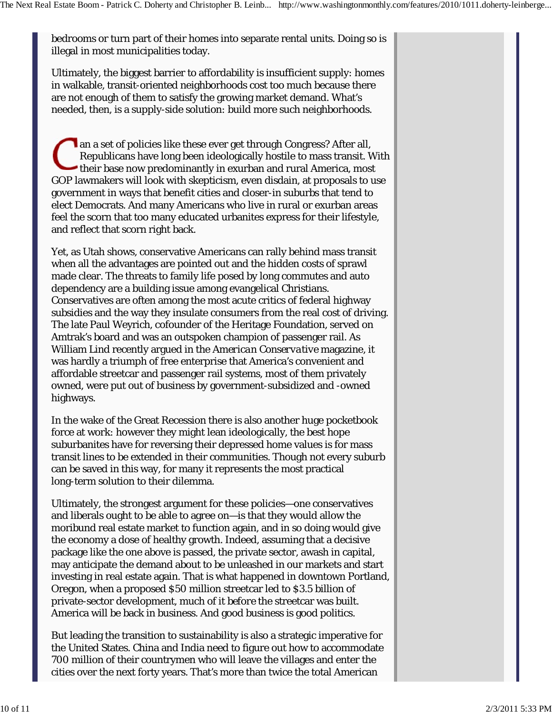bedrooms or turn part of their homes into separate rental units. Doing so is illegal in most municipalities today.

Ultimately, the biggest barrier to affordability is insufficient supply: homes in walkable, transit-oriented neighborhoods cost too much because there are not enough of them to satisfy the growing market demand. What's needed, then, is a supply-side solution: build more such neighborhoods.

an a set of policies like these ever get through Congress? After all, Republicans have long been ideologically hostile to mass transit. With their base now predominantly in exurban and rural America, most GOP lawmakers will look with skepticism, even disdain, at proposals to use government in ways that benefit cities and closer-in suburbs that tend to elect Democrats. And many Americans who live in rural or exurban areas feel the scorn that too many educated urbanites express for their lifestyle, and reflect that scorn right back.

Yet, as Utah shows, conservative Americans can rally behind mass transit when all the advantages are pointed out and the hidden costs of sprawl made clear. The threats to family life posed by long commutes and auto dependency are a building issue among evangelical Christians. Conservatives are often among the most acute critics of federal highway subsidies and the way they insulate consumers from the real cost of driving. The late Paul Weyrich, cofounder of the Heritage Foundation, served on Amtrak's board and was an outspoken champion of passenger rail. As William Lind recently argued in the *American Conservative* magazine, it was hardly a triumph of free enterprise that America's convenient and affordable streetcar and passenger rail systems, most of them privately owned, were put out of business by government-subsidized and -owned highways.

In the wake of the Great Recession there is also another huge pocketbook force at work: however they might lean ideologically, the best hope suburbanites have for reversing their depressed home values is for mass transit lines to be extended in their communities. Though not every suburb can be saved in this way, for many it represents the most practical long-term solution to their dilemma.

Ultimately, the strongest argument for these policies—one conservatives and liberals ought to be able to agree on—is that they would allow the moribund real estate market to function again, and in so doing would give the economy a dose of healthy growth. Indeed, assuming that a decisive package like the one above is passed, the private sector, awash in capital, may anticipate the demand about to be unleashed in our markets and start investing in real estate again. That is what happened in downtown Portland, Oregon, when a proposed \$50 million streetcar led to \$3.5 billion of private-sector development, much of it *before* the streetcar was built. America will be back in business. And good business is good politics.

But leading the transition to sustainability is also a strategic imperative for the United States. China and India need to figure out how to accommodate 700 million of their countrymen who will leave the villages and enter the cities over the next forty years. That's more than twice the total American